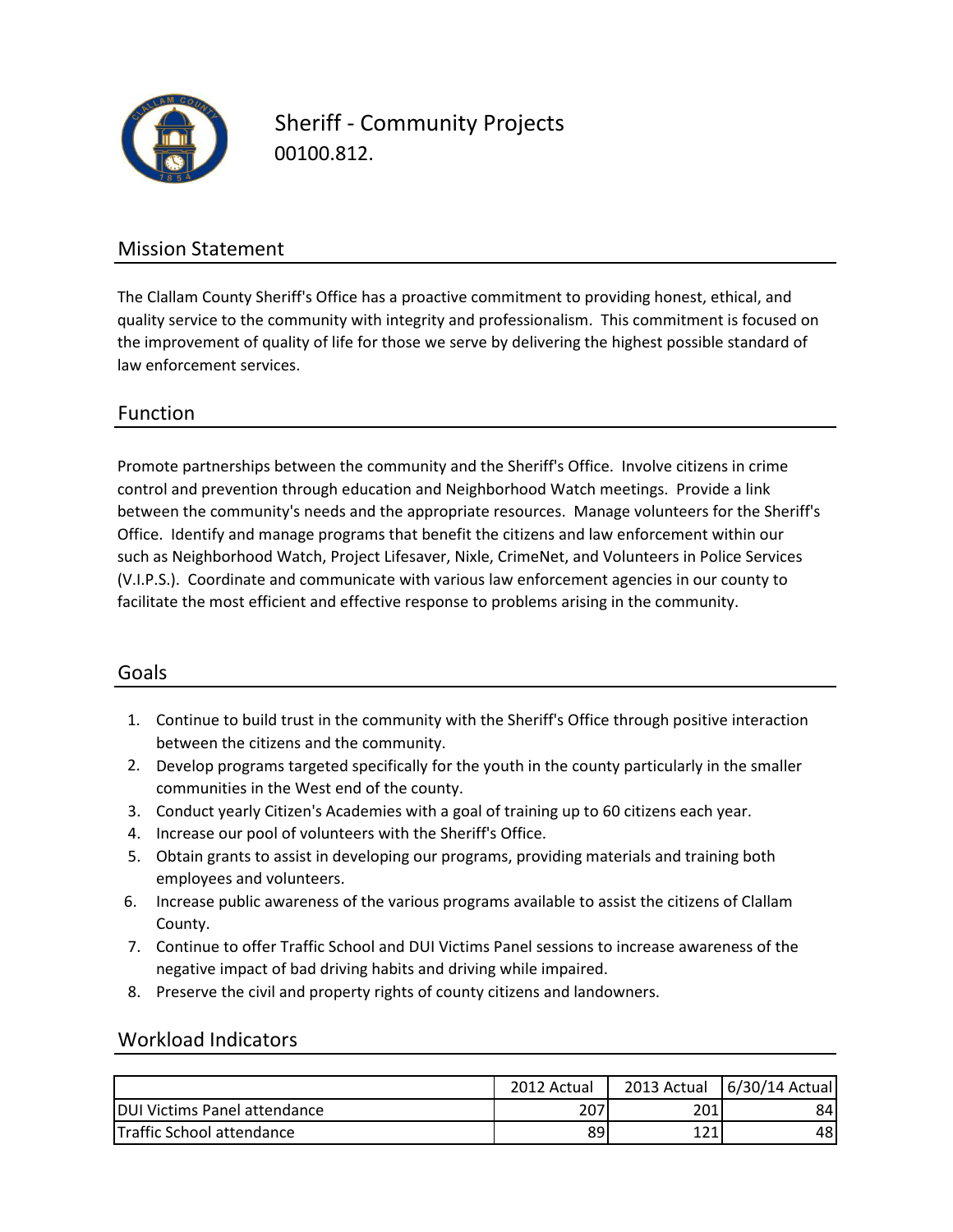

Sheriff - Community Projects 00100.812.

## Mission Statement

The Clallam County Sheriff's Office has a proactive commitment to providing honest, ethical, and quality service to the community with integrity and professionalism. This commitment is focused on the improvement of quality of life for those we serve by delivering the highest possible standard of law enforcement services.

### Function

control and prevention through education and Neighborhood Watch meetings. Provide a link Promote partnerships between the community and the Sheriff's Office. Involve citizens in crime between the community's needs and the appropriate resources. Manage volunteers for the Sheriff's Office. Identify and manage programs that benefit the citizens and law enforcement within our such as Neighborhood Watch, Project Lifesaver, Nixle, CrimeNet, and Volunteers in Police Services (V.I.P.S.). Coordinate and communicate with various law enforcement agencies in our county to facilitate the most efficient and effective response to problems arising in the community.

### Goals

- 1. Continue to build trust in the community with the Sheriff's Office through positive interaction between the citizens and the community.
- 2. Develop programs targeted specifically for the youth in the county particularly in the smaller communities in the West end of the county.
- 3. Conduct yearly Citizen's Academies with a goal of training up to 60 citizens each year.
- 4. Increase our pool of volunteers with the Sheriff's Office.
- 5. Obtain grants to assist in developing our programs, providing materials and training both employees and volunteers.
- 6. Increase public awareness of the various programs available to assist the citizens of Clallam County.
- 7. Continue to offer Traffic School and DUI Victims Panel sessions to increase awareness of the negative impact of bad driving habits and driving while impaired.
- 8. Preserve the civil and property rights of county citizens and landowners.

#### Workload Indicators

|                                      | 2012 Actual | 2013 Actual | 6/30/14 Actual |
|--------------------------------------|-------------|-------------|----------------|
| <b>IDUI Victims Panel attendance</b> | 207         | 201         | 84 I           |
| <b>Traffic School attendance</b>     | 89          | 171<br>┸᠘┸  | 48I            |